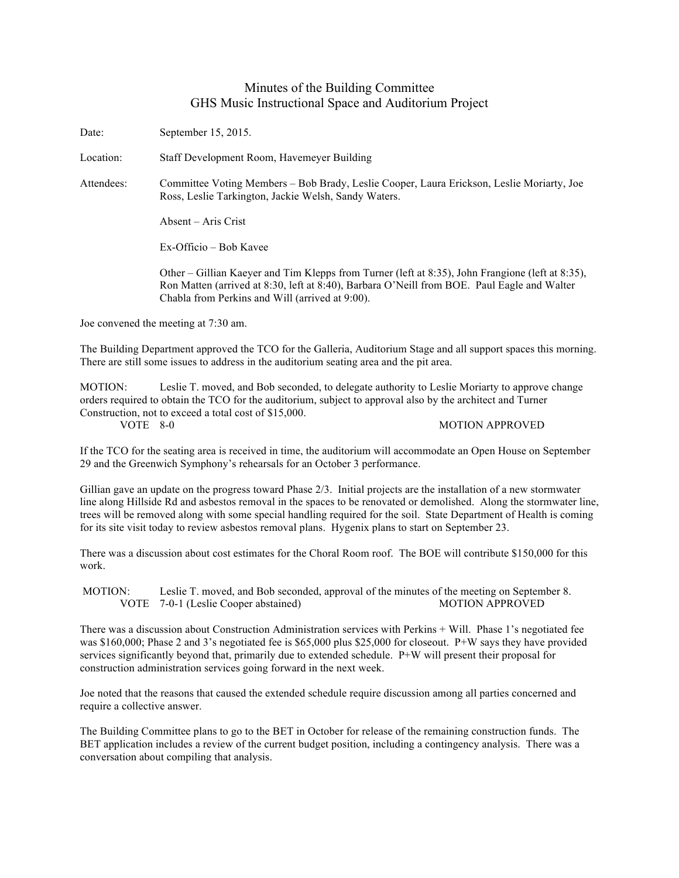## Minutes of the Building Committee GHS Music Instructional Space and Auditorium Project

Date: September 15, 2015.

Location: Staff Development Room, Havemeyer Building

Attendees: Committee Voting Members – Bob Brady, Leslie Cooper, Laura Erickson, Leslie Moriarty, Joe Ross, Leslie Tarkington, Jackie Welsh, Sandy Waters.

Absent – Aris Crist

Ex-Officio – Bob Kavee

Other – Gillian Kaeyer and Tim Klepps from Turner (left at 8:35), John Frangione (left at 8:35), Ron Matten (arrived at 8:30, left at 8:40), Barbara O'Neill from BOE. Paul Eagle and Walter Chabla from Perkins and Will (arrived at 9:00).

Joe convened the meeting at 7:30 am.

The Building Department approved the TCO for the Galleria, Auditorium Stage and all support spaces this morning. There are still some issues to address in the auditorium seating area and the pit area.

MOTION: Leslie T. moved, and Bob seconded, to delegate authority to Leslie Moriarty to approve change orders required to obtain the TCO for the auditorium, subject to approval also by the architect and Turner Construction, not to exceed a total cost of \$15,000.

## VOTE 8-0 MOTION APPROVED

If the TCO for the seating area is received in time, the auditorium will accommodate an Open House on September 29 and the Greenwich Symphony's rehearsals for an October 3 performance.

Gillian gave an update on the progress toward Phase 2/3. Initial projects are the installation of a new stormwater line along Hillside Rd and asbestos removal in the spaces to be renovated or demolished. Along the stormwater line, trees will be removed along with some special handling required for the soil. State Department of Health is coming for its site visit today to review asbestos removal plans. Hygenix plans to start on September 23.

There was a discussion about cost estimates for the Choral Room roof. The BOE will contribute \$150,000 for this work.

MOTION: Leslie T. moved, and Bob seconded, approval of the minutes of the meeting on September 8. VOTE 7-0-1 (Leslie Cooper abstained) MOTION APPROVED

There was a discussion about Construction Administration services with Perkins + Will. Phase 1's negotiated fee was \$160,000; Phase 2 and 3's negotiated fee is \$65,000 plus \$25,000 for closeout. P+W says they have provided services significantly beyond that, primarily due to extended schedule. P+W will present their proposal for construction administration services going forward in the next week.

Joe noted that the reasons that caused the extended schedule require discussion among all parties concerned and require a collective answer.

The Building Committee plans to go to the BET in October for release of the remaining construction funds. The BET application includes a review of the current budget position, including a contingency analysis. There was a conversation about compiling that analysis.